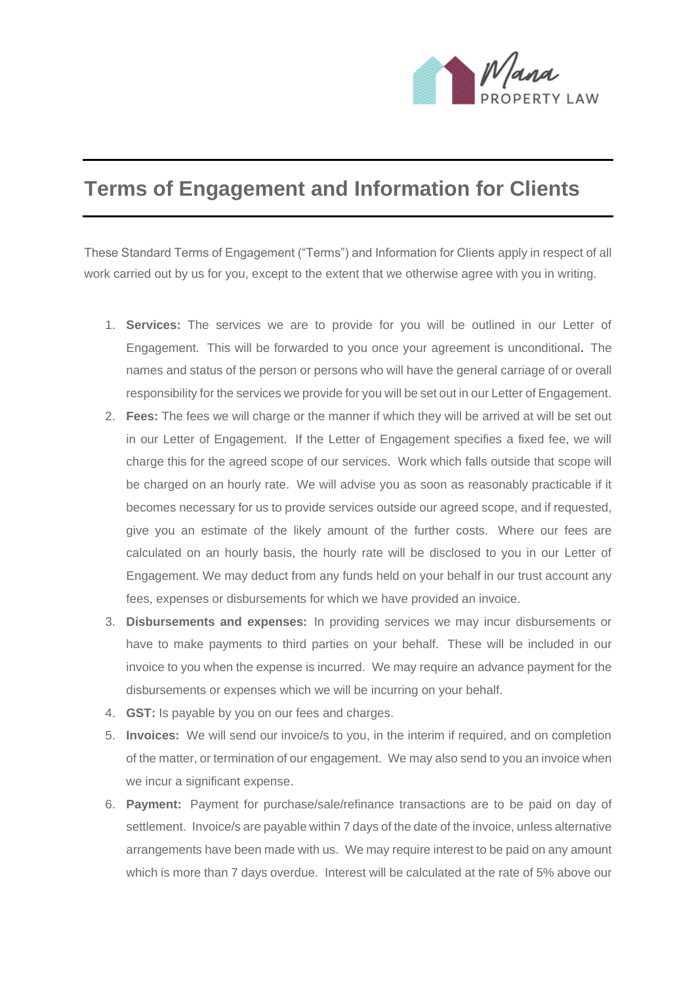

## **Terms of Engagement and Information for Clients**

These Standard Terms of Engagement ("Terms") and Information for Clients apply in respect of all work carried out by us for you, except to the extent that we otherwise agree with you in writing.

- 1. **Services:** The services we are to provide for you will be outlined in our Letter of Engagement. This will be forwarded to you once your agreement is unconditional**.** The names and status of the person or persons who will have the general carriage of or overall responsibility for the services we provide for you will be set out in our Letter of Engagement.
- 2. **Fees:** The fees we will charge or the manner if which they will be arrived at will be set out in our Letter of Engagement. If the Letter of Engagement specifies a fixed fee, we will charge this for the agreed scope of our services. Work which falls outside that scope will be charged on an hourly rate. We will advise you as soon as reasonably practicable if it becomes necessary for us to provide services outside our agreed scope, and if requested, give you an estimate of the likely amount of the further costs. Where our fees are calculated on an hourly basis, the hourly rate will be disclosed to you in our Letter of Engagement. We may deduct from any funds held on your behalf in our trust account any fees, expenses or disbursements for which we have provided an invoice.
- 3. **Disbursements and expenses:** In providing services we may incur disbursements or have to make payments to third parties on your behalf. These will be included in our invoice to you when the expense is incurred. We may require an advance payment for the disbursements or expenses which we will be incurring on your behalf.
- 4. **GST:** Is payable by you on our fees and charges.
- 5. **Invoices:** We will send our invoice/s to you, in the interim if required, and on completion of the matter, or termination of our engagement. We may also send to you an invoice when we incur a significant expense.
- 6. **Payment:** Payment for purchase/sale/refinance transactions are to be paid on day of settlement. Invoice/s are payable within 7 days of the date of the invoice, unless alternative arrangements have been made with us. We may require interest to be paid on any amount which is more than 7 days overdue. Interest will be calculated at the rate of 5% above our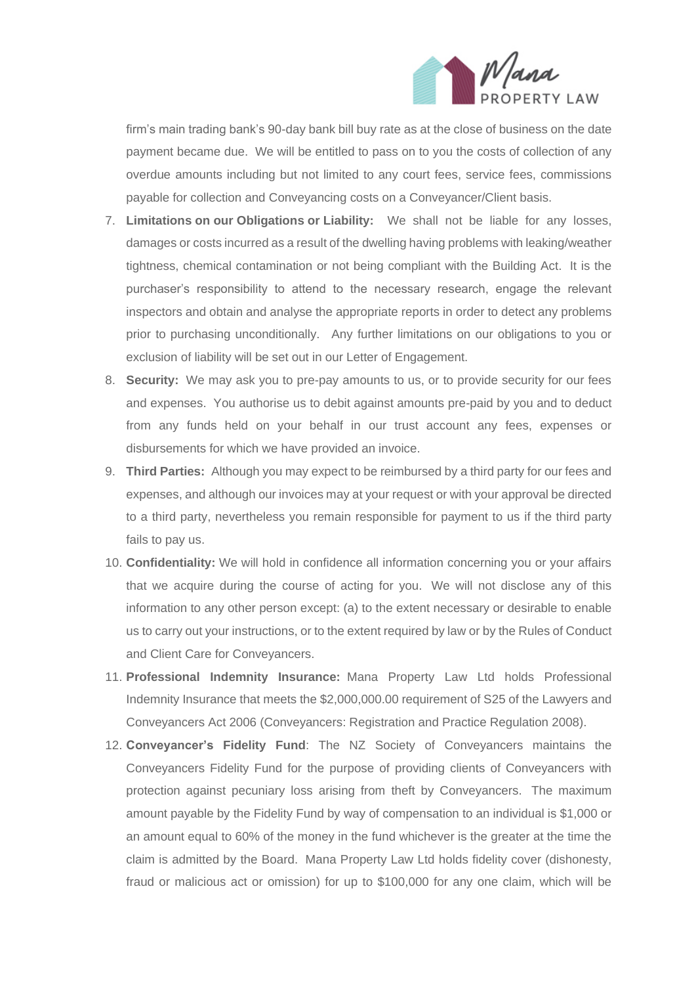

firm's main trading bank's 90-day bank bill buy rate as at the close of business on the date payment became due. We will be entitled to pass on to you the costs of collection of any overdue amounts including but not limited to any court fees, service fees, commissions payable for collection and Conveyancing costs on a Conveyancer/Client basis.

- 7. **Limitations on our Obligations or Liability:** We shall not be liable for any losses, damages or costs incurred as a result of the dwelling having problems with leaking/weather tightness, chemical contamination or not being compliant with the Building Act. It is the purchaser's responsibility to attend to the necessary research, engage the relevant inspectors and obtain and analyse the appropriate reports in order to detect any problems prior to purchasing unconditionally. Any further limitations on our obligations to you or exclusion of liability will be set out in our Letter of Engagement.
- 8. **Security:** We may ask you to pre-pay amounts to us, or to provide security for our fees and expenses. You authorise us to debit against amounts pre-paid by you and to deduct from any funds held on your behalf in our trust account any fees, expenses or disbursements for which we have provided an invoice.
- 9. **Third Parties:** Although you may expect to be reimbursed by a third party for our fees and expenses, and although our invoices may at your request or with your approval be directed to a third party, nevertheless you remain responsible for payment to us if the third party fails to pay us.
- 10. **Confidentiality:** We will hold in confidence all information concerning you or your affairs that we acquire during the course of acting for you. We will not disclose any of this information to any other person except: (a) to the extent necessary or desirable to enable us to carry out your instructions, or to the extent required by law or by the Rules of Conduct and Client Care for Conveyancers.
- 11. **Professional Indemnity Insurance:** Mana Property Law Ltd holds Professional Indemnity Insurance that meets the \$2,000,000.00 requirement of S25 of the Lawyers and Conveyancers Act 2006 (Conveyancers: Registration and Practice Regulation 2008).
- 12. **Conveyancer's Fidelity Fund**: The NZ Society of Conveyancers maintains the Conveyancers Fidelity Fund for the purpose of providing clients of Conveyancers with protection against pecuniary loss arising from theft by Conveyancers. The maximum amount payable by the Fidelity Fund by way of compensation to an individual is \$1,000 or an amount equal to 60% of the money in the fund whichever is the greater at the time the claim is admitted by the Board. Mana Property Law Ltd holds fidelity cover (dishonesty, fraud or malicious act or omission) for up to \$100,000 for any one claim, which will be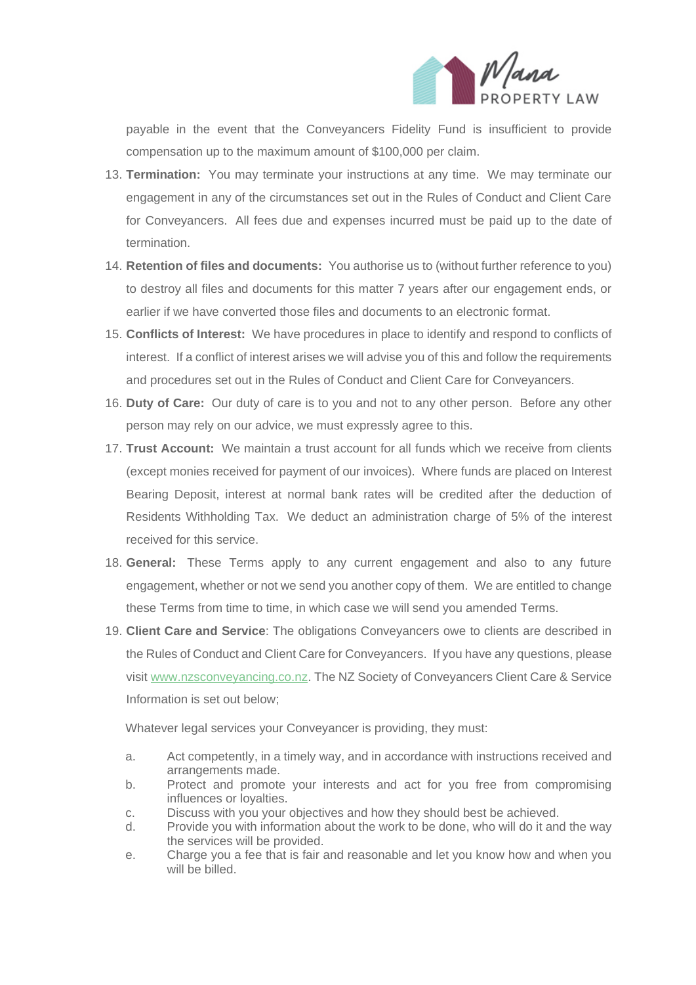

payable in the event that the Conveyancers Fidelity Fund is insufficient to provide compensation up to the maximum amount of \$100,000 per claim.

- 13. **Termination:** You may terminate your instructions at any time. We may terminate our engagement in any of the circumstances set out in the Rules of Conduct and Client Care for Conveyancers. All fees due and expenses incurred must be paid up to the date of termination.
- 14. **Retention of files and documents:** You authorise us to (without further reference to you) to destroy all files and documents for this matter 7 years after our engagement ends, or earlier if we have converted those files and documents to an electronic format.
- 15. **Conflicts of Interest:** We have procedures in place to identify and respond to conflicts of interest. If a conflict of interest arises we will advise you of this and follow the requirements and procedures set out in the Rules of Conduct and Client Care for Conveyancers.
- 16. **Duty of Care:** Our duty of care is to you and not to any other person. Before any other person may rely on our advice, we must expressly agree to this.
- 17. **Trust Account:** We maintain a trust account for all funds which we receive from clients (except monies received for payment of our invoices). Where funds are placed on Interest Bearing Deposit, interest at normal bank rates will be credited after the deduction of Residents Withholding Tax. We deduct an administration charge of 5% of the interest received for this service.
- 18. **General:** These Terms apply to any current engagement and also to any future engagement, whether or not we send you another copy of them. We are entitled to change these Terms from time to time, in which case we will send you amended Terms.
- 19. **Client Care and Service**: The obligations Conveyancers owe to clients are described in the Rules of Conduct and Client Care for Conveyancers. If you have any questions, please visit [www.nzsconveyancing.co.nz.](http://www.nzsconveyancing.co.nz/) The NZ Society of Conveyancers Client Care & Service Information is set out below;

Whatever legal services your Conveyancer is providing, they must:

- a. Act competently, in a timely way, and in accordance with instructions received and arrangements made.
- b. Protect and promote your interests and act for you free from compromising influences or loyalties.
- c. Discuss with you your objectives and how they should best be achieved.
- d. Provide you with information about the work to be done, who will do it and the way the services will be provided.
- e. Charge you a fee that is fair and reasonable and let you know how and when you will be billed.